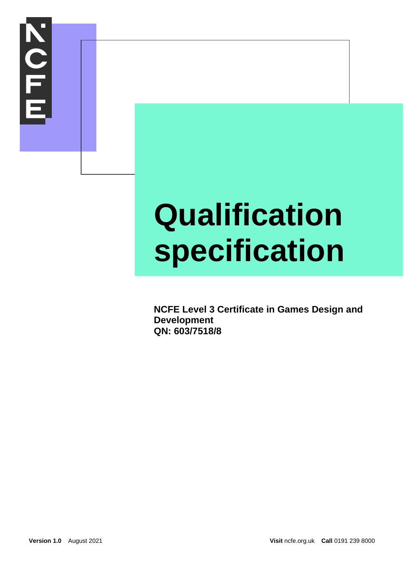

### **Qualification specification**

**NCFE Level 3 Certificate in Games Design and Development QN: 603/7518/8**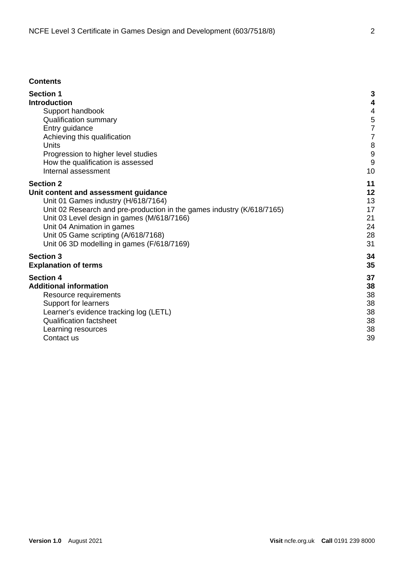#### **Contents**

| <b>Section 1</b>                                                       | 3  |
|------------------------------------------------------------------------|----|
| <b>Introduction</b>                                                    | 4  |
| Support handbook                                                       | 4  |
| <b>Qualification summary</b>                                           | 5  |
| Entry guidance                                                         | 7  |
| Achieving this qualification                                           | 7  |
| Units                                                                  | 8  |
| Progression to higher level studies                                    | 9  |
| How the qualification is assessed                                      | 9  |
| Internal assessment                                                    | 10 |
| <b>Section 2</b>                                                       | 11 |
| Unit content and assessment guidance                                   | 12 |
| Unit 01 Games industry (H/618/7164)                                    | 13 |
| Unit 02 Research and pre-production in the games industry (K/618/7165) | 17 |
| Unit 03 Level design in games (M/618/7166)                             | 21 |
| Unit 04 Animation in games                                             | 24 |
| Unit 05 Game scripting (A/618/7168)                                    | 28 |
| Unit 06 3D modelling in games (F/618/7169)                             | 31 |
| <b>Section 3</b>                                                       | 34 |
| <b>Explanation of terms</b>                                            | 35 |
| <b>Section 4</b>                                                       | 37 |
| <b>Additional information</b>                                          | 38 |
| Resource requirements                                                  | 38 |
| Support for learners                                                   | 38 |
| Learner's evidence tracking log (LETL)                                 | 38 |
| <b>Qualification factsheet</b>                                         | 38 |
| Learning resources                                                     | 38 |
| Contact us                                                             | 39 |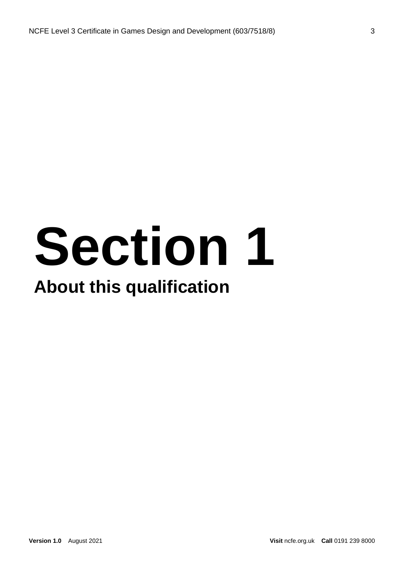### **Section 1 About this qualification**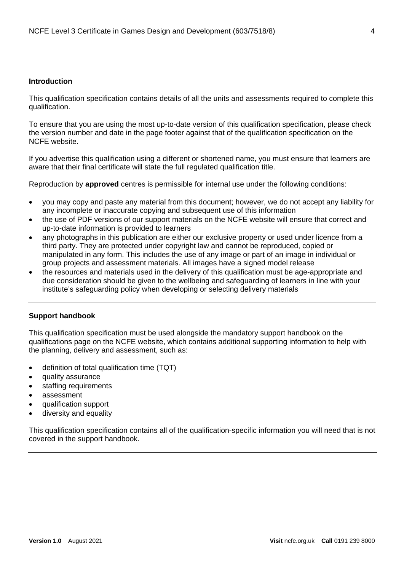#### <span id="page-3-0"></span>**Introduction**

This qualification specification contains details of all the units and assessments required to complete this qualification.

To ensure that you are using the most up-to-date version of this qualification specification, please check the version number and date in the page footer against that of the qualification specification on the NCFE website.

If you advertise this qualification using a different or shortened name, you must ensure that learners are aware that their final certificate will state the full regulated qualification title.

Reproduction by **approved** centres is permissible for internal use under the following conditions:

- you may copy and paste any material from this document; however, we do not accept any liability for any incomplete or inaccurate copying and subsequent use of this information
- the use of PDF versions of our support materials on the NCFE website will ensure that correct and up-to-date information is provided to learners
- any photographs in this publication are either our exclusive property or used under licence from a third party. They are protected under copyright law and cannot be reproduced, copied or manipulated in any form. This includes the use of any image or part of an image in individual or group projects and assessment materials. All images have a signed model release
- the resources and materials used in the delivery of this qualification must be age-appropriate and due consideration should be given to the wellbeing and safeguarding of learners in line with your institute's safeguarding policy when developing or selecting delivery materials

#### <span id="page-3-1"></span>**Support handbook**

This qualification specification must be used alongside the mandatory support handbook on the qualifications page on the NCFE website, which contains additional supporting information to help with the planning, delivery and assessment, such as:

- definition of total qualification time (TQT)
- quality assurance
- staffing requirements
- assessment
- qualification support
- diversity and equality

This qualification specification contains all of the qualification-specific information you will need that is not covered in the support handbook.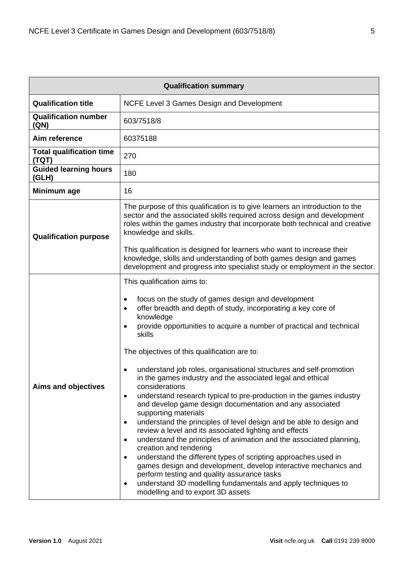<span id="page-4-0"></span>

| <b>Qualification summary</b>             |                                                                                                                                                                                                                                                                                                                                                                                                                                                                                                                                                                                                                                                                                                                                                                                                                                                                                                                                                                                                                                                                                                                                                                                                                                                       |  |
|------------------------------------------|-------------------------------------------------------------------------------------------------------------------------------------------------------------------------------------------------------------------------------------------------------------------------------------------------------------------------------------------------------------------------------------------------------------------------------------------------------------------------------------------------------------------------------------------------------------------------------------------------------------------------------------------------------------------------------------------------------------------------------------------------------------------------------------------------------------------------------------------------------------------------------------------------------------------------------------------------------------------------------------------------------------------------------------------------------------------------------------------------------------------------------------------------------------------------------------------------------------------------------------------------------|--|
| <b>Qualification title</b>               | NCFE Level 3 Games Design and Development                                                                                                                                                                                                                                                                                                                                                                                                                                                                                                                                                                                                                                                                                                                                                                                                                                                                                                                                                                                                                                                                                                                                                                                                             |  |
| <b>Qualification number</b><br>(QN)      | 603/7518/8                                                                                                                                                                                                                                                                                                                                                                                                                                                                                                                                                                                                                                                                                                                                                                                                                                                                                                                                                                                                                                                                                                                                                                                                                                            |  |
| Aim reference                            | 60375188                                                                                                                                                                                                                                                                                                                                                                                                                                                                                                                                                                                                                                                                                                                                                                                                                                                                                                                                                                                                                                                                                                                                                                                                                                              |  |
| <b>Total qualification time</b><br>(TQT) | 270                                                                                                                                                                                                                                                                                                                                                                                                                                                                                                                                                                                                                                                                                                                                                                                                                                                                                                                                                                                                                                                                                                                                                                                                                                                   |  |
| <b>Guided learning hours</b><br>(GLH)    | 180                                                                                                                                                                                                                                                                                                                                                                                                                                                                                                                                                                                                                                                                                                                                                                                                                                                                                                                                                                                                                                                                                                                                                                                                                                                   |  |
| Minimum age                              | 16                                                                                                                                                                                                                                                                                                                                                                                                                                                                                                                                                                                                                                                                                                                                                                                                                                                                                                                                                                                                                                                                                                                                                                                                                                                    |  |
| <b>Qualification purpose</b>             | The purpose of this qualification is to give learners an introduction to the<br>sector and the associated skills required across design and development<br>roles within the games industry that incorporate both technical and creative<br>knowledge and skills.<br>This qualification is designed for learners who want to increase their                                                                                                                                                                                                                                                                                                                                                                                                                                                                                                                                                                                                                                                                                                                                                                                                                                                                                                            |  |
|                                          | knowledge, skills and understanding of both games design and games<br>development and progress into specialist study or employment in the sector.                                                                                                                                                                                                                                                                                                                                                                                                                                                                                                                                                                                                                                                                                                                                                                                                                                                                                                                                                                                                                                                                                                     |  |
| Aims and objectives                      | This qualification aims to:<br>focus on the study of games design and development<br>$\bullet$<br>offer breadth and depth of study, incorporating a key core of<br>$\bullet$<br>knowledge<br>provide opportunities to acquire a number of practical and technical<br>skills<br>The objectives of this qualification are to:<br>understand job roles, organisational structures and self-promotion<br>$\bullet$<br>in the games industry and the associated legal and ethical<br>considerations<br>understand research typical to pre-production in the games industry<br>$\bullet$<br>and develop game design documentation and any associated<br>supporting materials<br>understand the principles of level design and be able to design and<br>$\bullet$<br>review a level and its associated lighting and effects<br>understand the principles of animation and the associated planning,<br>$\bullet$<br>creation and rendering<br>understand the different types of scripting approaches used in<br>$\bullet$<br>games design and development, develop interactive mechanics and<br>perform testing and quality assurance tasks<br>understand 3D modelling fundamentals and apply techniques to<br>$\bullet$<br>modelling and to export 3D assets |  |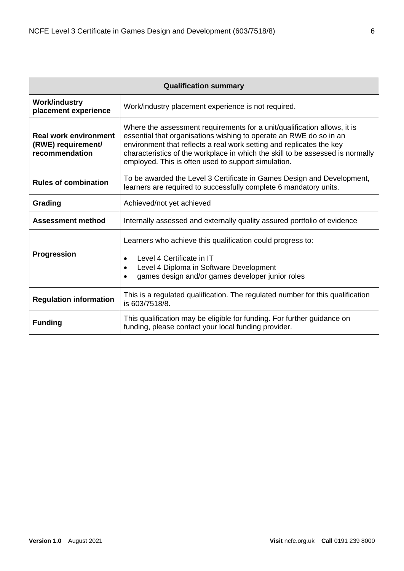| <b>Qualification summary</b>                                         |                                                                                                                                                                                                                                                                                                                                                                 |  |
|----------------------------------------------------------------------|-----------------------------------------------------------------------------------------------------------------------------------------------------------------------------------------------------------------------------------------------------------------------------------------------------------------------------------------------------------------|--|
| <b>Work/industry</b><br>placement experience                         | Work/industry placement experience is not required.                                                                                                                                                                                                                                                                                                             |  |
| <b>Real work environment</b><br>(RWE) requirement/<br>recommendation | Where the assessment requirements for a unit/qualification allows, it is<br>essential that organisations wishing to operate an RWE do so in an<br>environment that reflects a real work setting and replicates the key<br>characteristics of the workplace in which the skill to be assessed is normally<br>employed. This is often used to support simulation. |  |
| <b>Rules of combination</b>                                          | To be awarded the Level 3 Certificate in Games Design and Development,<br>learners are required to successfully complete 6 mandatory units.                                                                                                                                                                                                                     |  |
| Grading                                                              | Achieved/not yet achieved                                                                                                                                                                                                                                                                                                                                       |  |
| <b>Assessment method</b>                                             | Internally assessed and externally quality assured portfolio of evidence                                                                                                                                                                                                                                                                                        |  |
| <b>Progression</b>                                                   | Learners who achieve this qualification could progress to:<br>Level 4 Certificate in IT<br>$\bullet$<br>Level 4 Diploma in Software Development<br>$\bullet$<br>games design and/or games developer junior roles                                                                                                                                                |  |
| <b>Regulation information</b>                                        | This is a regulated qualification. The regulated number for this qualification<br>is 603/7518/8.                                                                                                                                                                                                                                                                |  |
| <b>Funding</b>                                                       | This qualification may be eligible for funding. For further guidance on<br>funding, please contact your local funding provider.                                                                                                                                                                                                                                 |  |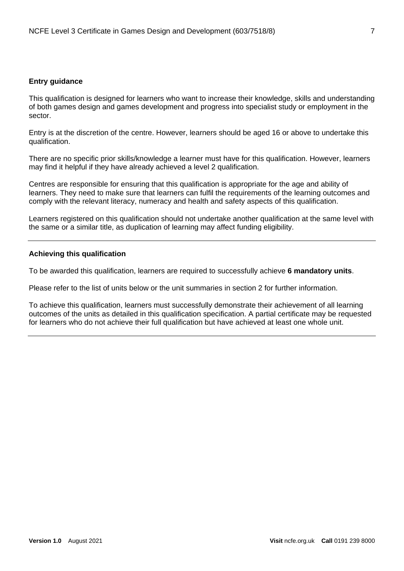#### <span id="page-6-0"></span>**Entry guidance**

This qualification is designed for learners who want to increase their knowledge, skills and understanding of both games design and games development and progress into specialist study or employment in the sector.

Entry is at the discretion of the centre. However, learners should be aged 16 or above to undertake this qualification.

There are no specific prior skills/knowledge a learner must have for this qualification. However, learners may find it helpful if they have already achieved a level 2 qualification.

Centres are responsible for ensuring that this qualification is appropriate for the age and ability of learners. They need to make sure that learners can fulfil the requirements of the learning outcomes and comply with the relevant literacy, numeracy and health and safety aspects of this qualification.

Learners registered on this qualification should not undertake another qualification at the same level with the same or a similar title, as duplication of learning may affect funding eligibility.

#### <span id="page-6-1"></span>**Achieving this qualification**

To be awarded this qualification, learners are required to successfully achieve **6 mandatory units**.

Please refer to the list of units below or the unit summaries in section 2 for further information.

To achieve this qualification, learners must successfully demonstrate their achievement of all learning outcomes of the units as detailed in this qualification specification. A partial certificate may be requested for learners who do not achieve their full qualification but have achieved at least one whole unit.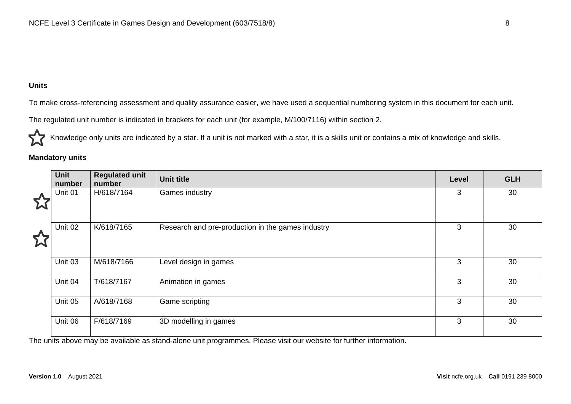#### **Units**

To make cross-referencing assessment and quality assurance easier, we have used a sequential numbering system in this document for each unit.

The regulated unit number is indicated in brackets for each unit (for example, M/100/7116) within section 2.

Knowledge only units are indicated by a star. If a unit is not marked with a star, it is a skills unit or contains a mix of knowledge and skills.

#### **Mandatory units**

<span id="page-7-0"></span>

|   | <b>Unit</b><br>number | <b>Regulated unit</b><br>number | <b>Unit title</b>                                 | Level | <b>GLH</b> |
|---|-----------------------|---------------------------------|---------------------------------------------------|-------|------------|
| ↩ | Unit 01               | H/618/7164                      | Games industry                                    | 3     | 30         |
| ど | Unit 02               | K/618/7165                      | Research and pre-production in the games industry | 3     | 30         |
|   | Unit 03               | M/618/7166                      | Level design in games                             | 3     | 30         |
|   | Unit 04               | T/618/7167                      | Animation in games                                | 3     | 30         |
|   | Unit 05               | A/618/7168                      | Game scripting                                    | 3     | 30         |
|   | Unit 06               | F/618/7169                      | 3D modelling in games                             | 3     | 30         |

The units above may be available as stand-alone unit programmes. Please visit our website for further information.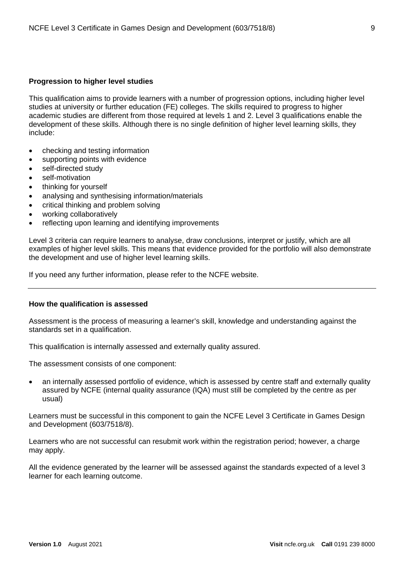#### <span id="page-8-0"></span>**Progression to higher level studies**

This qualification aims to provide learners with a number of progression options, including higher level studies at university or further education (FE) colleges. The skills required to progress to higher academic studies are different from those required at levels 1 and 2. Level 3 qualifications enable the development of these skills. Although there is no single definition of higher level learning skills, they include:

- checking and testing information
- supporting points with evidence
- self-directed study
- self-motivation
- thinking for yourself
- analysing and synthesising information/materials
- critical thinking and problem solving
- working collaboratively
- reflecting upon learning and identifying improvements

Level 3 criteria can require learners to analyse, draw conclusions, interpret or justify, which are all examples of higher level skills. This means that evidence provided for the portfolio will also demonstrate the development and use of higher level learning skills.

If you need any further information, please refer to the NCFE website.

#### <span id="page-8-1"></span>**How the qualification is assessed**

Assessment is the process of measuring a learner's skill, knowledge and understanding against the standards set in a qualification.

This qualification is internally assessed and externally quality assured.

The assessment consists of one component:

• an internally assessed portfolio of evidence, which is assessed by centre staff and externally quality assured by NCFE (internal quality assurance (IQA) must still be completed by the centre as per usual)

Learners must be successful in this component to gain the NCFE Level 3 Certificate in Games Design and Development (603/7518/8).

Learners who are not successful can resubmit work within the registration period; however, a charge may apply.

All the evidence generated by the learner will be assessed against the standards expected of a level 3 learner for each learning outcome.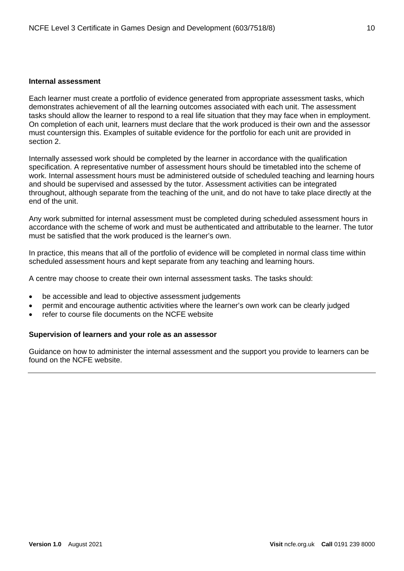#### <span id="page-9-0"></span>**Internal assessment**

Each learner must create a portfolio of evidence generated from appropriate assessment tasks, which demonstrates achievement of all the learning outcomes associated with each unit. The assessment tasks should allow the learner to respond to a real life situation that they may face when in employment. On completion of each unit, learners must declare that the work produced is their own and the assessor must countersign this. Examples of suitable evidence for the portfolio for each unit are provided in section 2.

Internally assessed work should be completed by the learner in accordance with the qualification specification. A representative number of assessment hours should be timetabled into the scheme of work. Internal assessment hours must be administered outside of scheduled teaching and learning hours and should be supervised and assessed by the tutor. Assessment activities can be integrated throughout, although separate from the teaching of the unit, and do not have to take place directly at the end of the unit.

Any work submitted for internal assessment must be completed during scheduled assessment hours in accordance with the scheme of work and must be authenticated and attributable to the learner. The tutor must be satisfied that the work produced is the learner's own.

In practice, this means that all of the portfolio of evidence will be completed in normal class time within scheduled assessment hours and kept separate from any teaching and learning hours.

A centre may choose to create their own internal assessment tasks. The tasks should:

- be accessible and lead to objective assessment judgements
- permit and encourage authentic activities where the learner's own work can be clearly judged
- refer to course file documents on the NCFE website

#### **Supervision of learners and your role as an assessor**

Guidance on how to administer the internal assessment and the support you provide to learners can be found on the NCFE website.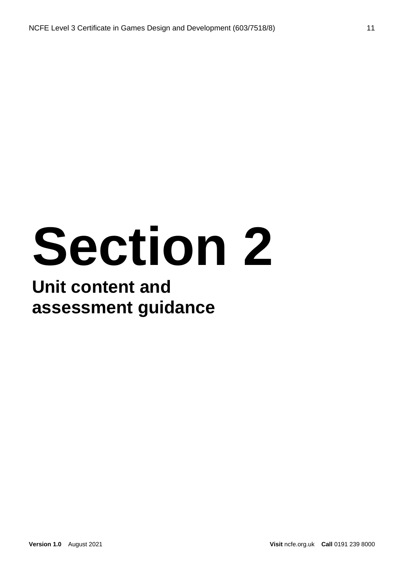# **Section 2**

### **Unit content and assessment guidance**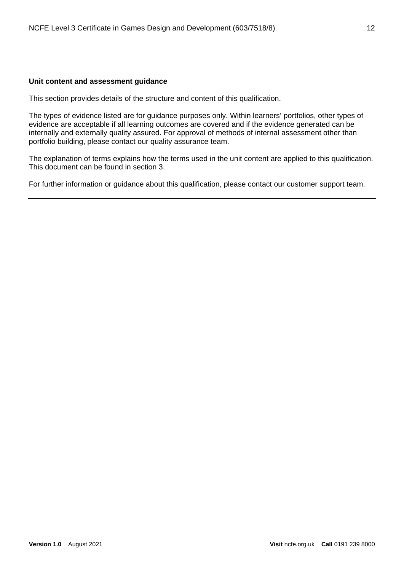#### <span id="page-11-0"></span>**Unit content and assessment guidance**

This section provides details of the structure and content of this qualification.

The types of evidence listed are for guidance purposes only. Within learners' portfolios, other types of evidence are acceptable if all learning outcomes are covered and if the evidence generated can be internally and externally quality assured. For approval of methods of internal assessment other than portfolio building, please contact our quality assurance team.

The explanation of terms explains how the terms used in the unit content are applied to this qualification. This document can be found in section 3.

For further information or guidance about this qualification, please contact our customer support team.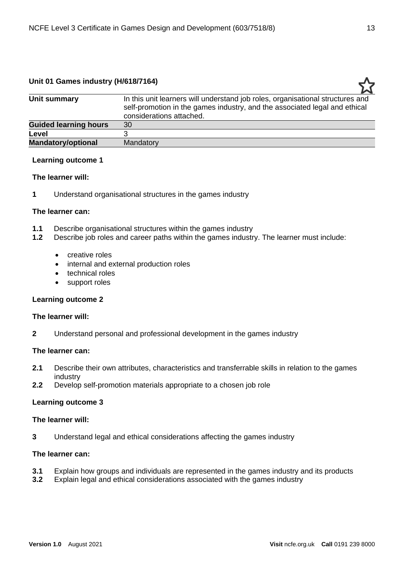#### <span id="page-12-0"></span>**Unit 01 Games industry (H/618/7164)**

| Unit summary                 | In this unit learners will understand job roles, organisational structures and<br>self-promotion in the games industry, and the associated legal and ethical<br>considerations attached. |
|------------------------------|------------------------------------------------------------------------------------------------------------------------------------------------------------------------------------------|
| <b>Guided learning hours</b> | 30                                                                                                                                                                                       |
| Level                        |                                                                                                                                                                                          |
| <b>Mandatory/optional</b>    | Mandatory                                                                                                                                                                                |
|                              |                                                                                                                                                                                          |

#### **Learning outcome 1**

#### **The learner will:**

**1** Understand organisational structures in the games industry

#### **The learner can:**

- **1.1** Describe organisational structures within the games industry<br>**1.2** Describe iob roles and career paths within the games industr
- **1.2** Describe job roles and career paths within the games industry. The learner must include:
	- creative roles
	- internal and external production roles
	- technical roles
	- support roles

#### **Learning outcome 2**

#### **The learner will:**

**2** Understand personal and professional development in the games industry

#### **The learner can:**

- **2.1** Describe their own attributes, characteristics and transferrable skills in relation to the games industry
- **2.2** Develop self-promotion materials appropriate to a chosen job role

#### **Learning outcome 3**

#### **The learner will:**

**3** Understand legal and ethical considerations affecting the games industry

#### **The learner can:**

- **3.1** Explain how groups and individuals are represented in the games industry and its products **3.2** Explain legal and ethical considerations associated with the games industry
- **3.2** Explain legal and ethical considerations associated with the games industry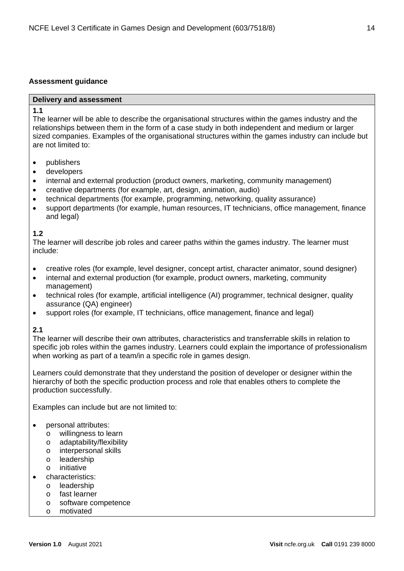#### **Assessment guidance**

#### **Delivery and assessment**

#### **1.1**

The learner will be able to describe the organisational structures within the games industry and the relationships between them in the form of a case study in both independent and medium or larger sized companies. Examples of the organisational structures within the games industry can include but are not limited to:

- publishers
- developers
- internal and external production (product owners, marketing, community management)
- creative departments (for example, art, design, animation, audio)
- technical departments (for example, programming, networking, quality assurance)
- support departments (for example, human resources, IT technicians, office management, finance and legal)

#### **1.2**

The learner will describe job roles and career paths within the games industry. The learner must include:

- creative roles (for example, level designer, concept artist, character animator, sound designer)
- internal and external production (for example, product owners, marketing, community management)
- technical roles (for example, artificial intelligence (AI) programmer, technical designer, quality assurance (QA) engineer)
- support roles (for example, IT technicians, office management, finance and legal)

#### **2.1**

The learner will describe their own attributes, characteristics and transferrable skills in relation to specific job roles within the games industry. Learners could explain the importance of professionalism when working as part of a team/in a specific role in games design.

Learners could demonstrate that they understand the position of developer or designer within the hierarchy of both the specific production process and role that enables others to complete the production successfully.

Examples can include but are not limited to:

- personal attributes:
	- o willingness to learn
	- o adaptability/flexibility
	- o interpersonal skills
	- o leadership
	- o initiative
- characteristics:
	- o leadership
	- o fast learner
	- o software competence
	- o motivated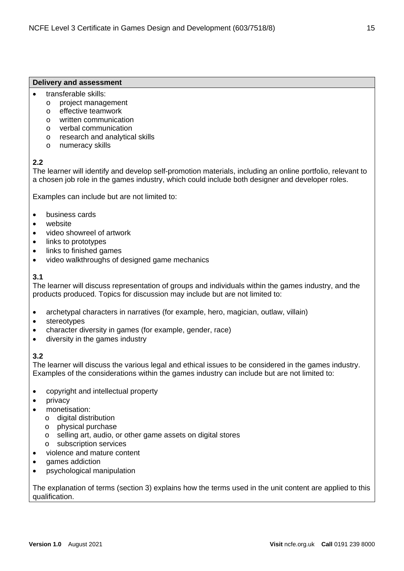#### **Delivery and assessment**

- transferable skills:
	- o project management
	- o effective teamwork
	- o written communication
	- o verbal communication
	- o research and analytical skills
	- o numeracy skills

#### **2.2**

The learner will identify and develop self-promotion materials, including an online portfolio, relevant to a chosen job role in the games industry, which could include both designer and developer roles.

Examples can include but are not limited to:

- business cards
- website
- video showreel of artwork
- links to prototypes
- links to finished games
- video walkthroughs of designed game mechanics

#### **3.1**

The learner will discuss representation of groups and individuals within the games industry, and the products produced. Topics for discussion may include but are not limited to:

- archetypal characters in narratives (for example, hero, magician, outlaw, villain)
- stereotypes
- character diversity in games (for example, gender, race)
- diversity in the games industry

#### **3.2**

The learner will discuss the various legal and ethical issues to be considered in the games industry. Examples of the considerations within the games industry can include but are not limited to:

- copyright and intellectual property
- privacy
- monetisation:
	- o digital distribution
	- o physical purchase
	- o selling art, audio, or other game assets on digital stores
	- o subscription services
- violence and mature content
- games addiction
- psychological manipulation

The explanation of terms (section 3) explains how the terms used in the unit content are applied to this qualification.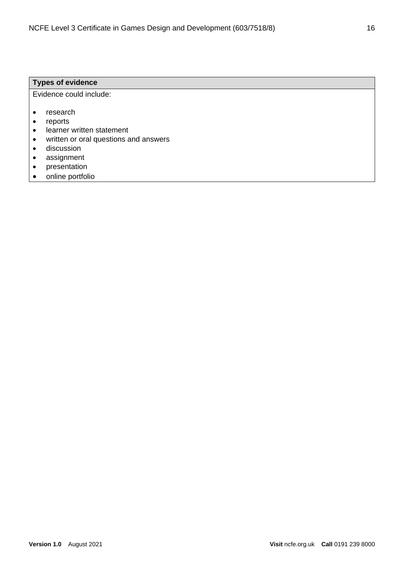#### **Types of evidence**

Evidence could include:

- research
- reports
- learner written statement
- written or oral questions and answers
- discussion
- assignment
- presentation
- online portfolio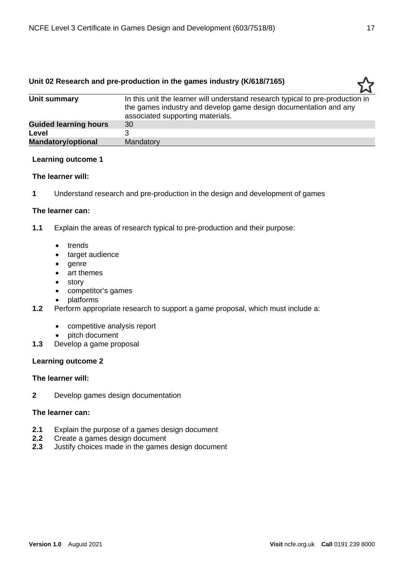#### <span id="page-16-0"></span>**Unit 02 Research and pre-production in the games industry (K/618/7165)**

| Unit summary                 | In this unit the learner will understand research typical to pre-production in |
|------------------------------|--------------------------------------------------------------------------------|
|                              | the games industry and develop game design documentation and any               |
|                              | associated supporting materials.                                               |
| <b>Guided learning hours</b> | 30                                                                             |
| Level                        |                                                                                |
| <b>Mandatory/optional</b>    | Mandatory                                                                      |
|                              |                                                                                |

#### **Learning outcome 1**

#### **The learner will:**

**1** Understand research and pre-production in the design and development of games

#### **The learner can:**

**1.1** Explain the areas of research typical to pre-production and their purpose:

- trends
- target audience
- genre
- art themes
- story
- competitor's games
- platforms
- **1.2** Perform appropriate research to support a game proposal, which must include a:
	- competitive analysis report
	- pitch document
- **1.3** Develop a game proposal

#### **Learning outcome 2**

#### **The learner will:**

**2** Develop games design documentation

#### **The learner can:**

- **2.1** Explain the purpose of a games design document
- **2.2** Create a games design document
- **2.3** Justify choices made in the games design document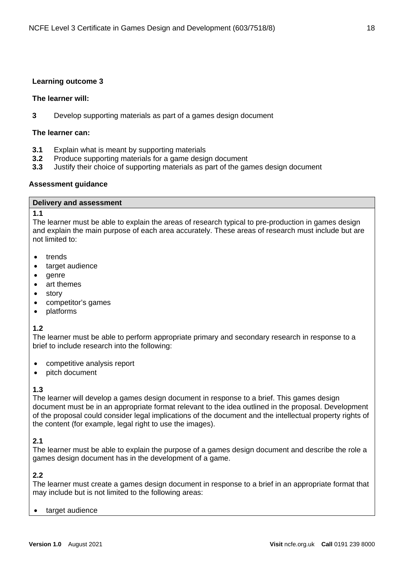#### **Learning outcome 3**

#### **The learner will:**

**3** Develop supporting materials as part of a games design document

#### **The learner can:**

- **3.1** Explain what is meant by supporting materials
- **3.2** Produce supporting materials for a game design document
- **3.3** Justify their choice of supporting materials as part of the games design document

#### **Assessment guidance**

#### **Delivery and assessment**

#### **1.1**

The learner must be able to explain the areas of research typical to pre-production in games design and explain the main purpose of each area accurately. These areas of research must include but are not limited to:

- trends
- target audience
- genre
- art themes
- story
- competitor's games
- platforms

#### **1.2**

The learner must be able to perform appropriate primary and secondary research in response to a brief to include research into the following:

- competitive analysis report
- pitch document

#### **1.3**

The learner will develop a games design document in response to a brief. This games design document must be in an appropriate format relevant to the idea outlined in the proposal. Development of the proposal could consider legal implications of the document and the intellectual property rights of the content (for example, legal right to use the images).

#### **2.1**

The learner must be able to explain the purpose of a games design document and describe the role a games design document has in the development of a game.

#### **2.2**

The learner must create a games design document in response to a brief in an appropriate format that may include but is not limited to the following areas:

target audience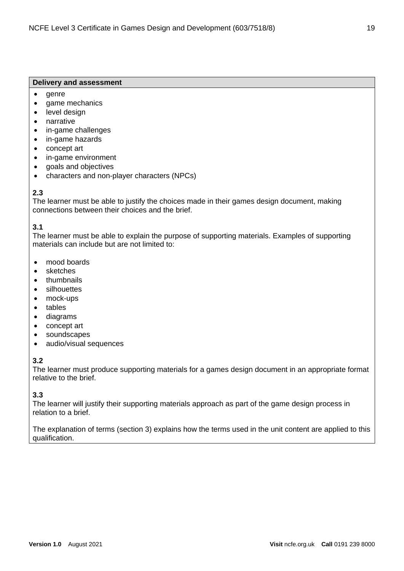#### **Delivery and assessment**

- genre
- game mechanics
- level design
- narrative
- in-game challenges
- in-game hazards
- concept art
- in-game environment
- goals and objectives
- characters and non-player characters (NPCs)

#### **2.3**

The learner must be able to justify the choices made in their games design document, making connections between their choices and the brief.

#### **3.1**

The learner must be able to explain the purpose of supporting materials. Examples of supporting materials can include but are not limited to:

- mood boards
- sketches
- thumbnails
- **silhouettes**
- mock-ups
- tables
- diagrams
- concept art
- soundscapes
- audio/visual sequences

#### **3.2**

The learner must produce supporting materials for a games design document in an appropriate format relative to the brief.

#### **3.3**

The learner will justify their supporting materials approach as part of the game design process in relation to a brief.

The explanation of terms (section 3) explains how the terms used in the unit content are applied to this qualification.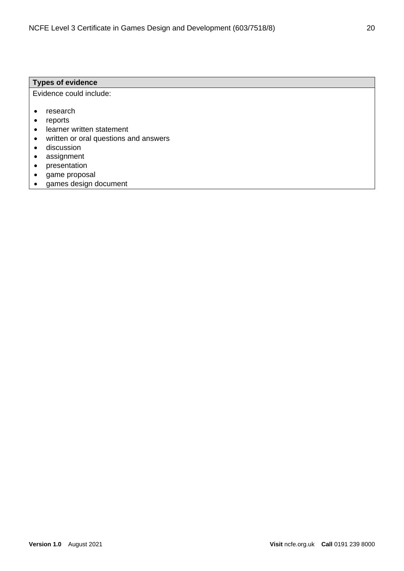#### **Types of evidence**

Evidence could include:

- research
- reports
- learner written statement
- written or oral questions and answers
- discussion
- assignment
- presentation
- game proposal
- games design document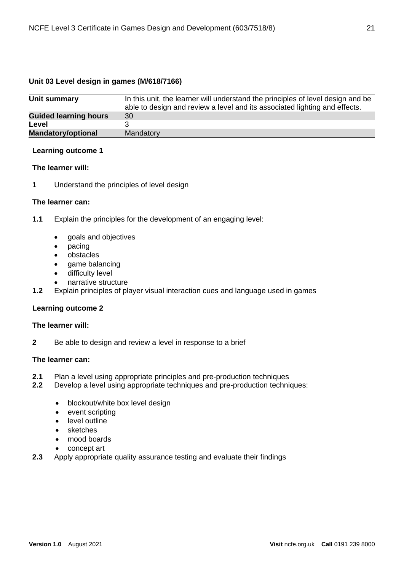#### <span id="page-20-0"></span>**Unit 03 Level design in games (M/618/7166)**

| Unit summary                 | In this unit, the learner will understand the principles of level design and be<br>able to design and review a level and its associated lighting and effects. |
|------------------------------|---------------------------------------------------------------------------------------------------------------------------------------------------------------|
| <b>Guided learning hours</b> | 30                                                                                                                                                            |
| Level                        |                                                                                                                                                               |
| Mandatory/optional           | Mandatory                                                                                                                                                     |

#### **Learning outcome 1**

#### **The learner will:**

**1** Understand the principles of level design

#### **The learner can:**

- **1.1** Explain the principles for the development of an engaging level:
	- goals and objectives
	- pacing
	- obstacles
	- game balancing
	- difficulty level
	- narrative structure
- **1.2** Explain principles of player visual interaction cues and language used in games

#### **Learning outcome 2**

#### **The learner will:**

**2** Be able to design and review a level in response to a brief

#### **The learner can:**

- **2.1** Plan a level using appropriate principles and pre-production techniques
- **2.2** Develop a level using appropriate techniques and pre-production techniques:
	- blockout/white box level design
	- event scripting
	- level outline
	- sketches
	- mood boards
	- concept art
- **2.3** Apply appropriate quality assurance testing and evaluate their findings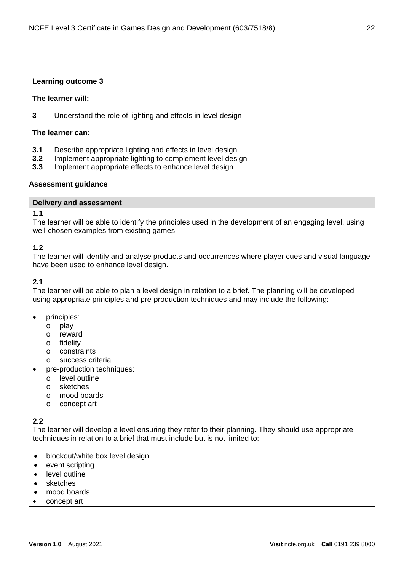#### **Learning outcome 3**

#### **The learner will:**

**3** Understand the role of lighting and effects in level design

#### **The learner can:**

- **3.1** Describe appropriate lighting and effects in level design
- **3.2** Implement appropriate lighting to complement level design
- **3.3** Implement appropriate effects to enhance level design

#### **Assessment guidance**

#### **Delivery and assessment**

#### **1.1**

The learner will be able to identify the principles used in the development of an engaging level, using well-chosen examples from existing games.

#### **1.2**

The learner will identify and analyse products and occurrences where player cues and visual language have been used to enhance level design.

#### **2.1**

The learner will be able to plan a level design in relation to a brief. The planning will be developed using appropriate principles and pre-production techniques and may include the following:

- principles:
	- o play
	- o reward
	- o fidelity
	- o constraints
	- o success criteria
- pre-production techniques:
	- o level outline
	- o sketches
	- o mood boards
	- o concept art

#### **2.2**

The learner will develop a level ensuring they refer to their planning. They should use appropriate techniques in relation to a brief that must include but is not limited to:

- blockout/white box level design
- event scripting
- level outline
- sketches
- mood boards
- concept art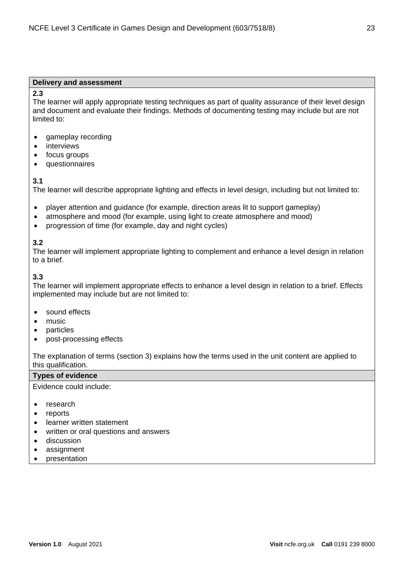#### **Delivery and assessment**

#### **2.3**

The learner will apply appropriate testing techniques as part of quality assurance of their level design and document and evaluate their findings. Methods of documenting testing may include but are not limited to:

- gameplay recording
- interviews
- focus groups
- questionnaires

#### **3.1**

The learner will describe appropriate lighting and effects in level design, including but not limited to:

- player attention and guidance (for example, direction areas lit to support gameplay)
- atmosphere and mood (for example, using light to create atmosphere and mood)
- progression of time (for example, day and night cycles)

#### **3.2**

The learner will implement appropriate lighting to complement and enhance a level design in relation to a brief.

#### **3.3**

The learner will implement appropriate effects to enhance a level design in relation to a brief. Effects implemented may include but are not limited to:

- sound effects
- music
- **particles**
- post-processing effects

The explanation of terms (section 3) explains how the terms used in the unit content are applied to this qualification.

#### **Types of evidence**

Evidence could include:

- research
- **reports**
- learner written statement
- written or oral questions and answers
- discussion
- assignment
- presentation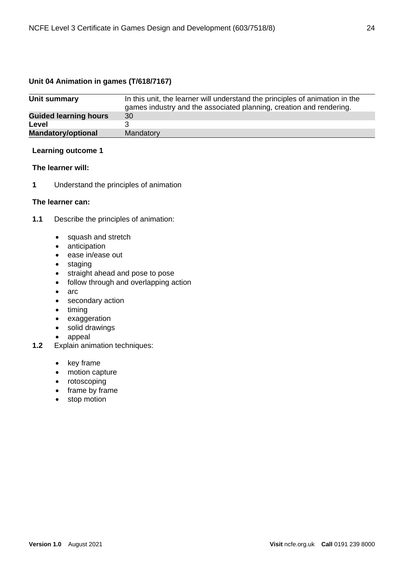#### <span id="page-23-0"></span>**Unit 04 Animation in games (T/618/7167)**

| Unit summary                 | In this unit, the learner will understand the principles of animation in the<br>games industry and the associated planning, creation and rendering. |
|------------------------------|-----------------------------------------------------------------------------------------------------------------------------------------------------|
| <b>Guided learning hours</b> | 30                                                                                                                                                  |
| Level                        |                                                                                                                                                     |
| <b>Mandatory/optional</b>    | Mandatory                                                                                                                                           |

#### **Learning outcome 1**

#### **The learner will:**

**1** Understand the principles of animation

#### **The learner can:**

- **1.1** Describe the principles of animation:
	- squash and stretch
	- anticipation
	- ease in/ease out
	- staging
	- straight ahead and pose to pose
	- follow through and overlapping action
	- arc
	- secondary action
	- timing
	- exaggeration
	- solid drawings
	- appeal
- **1.2** Explain animation techniques:
	- key frame
	- motion capture
	- rotoscoping
	- frame by frame
	- stop motion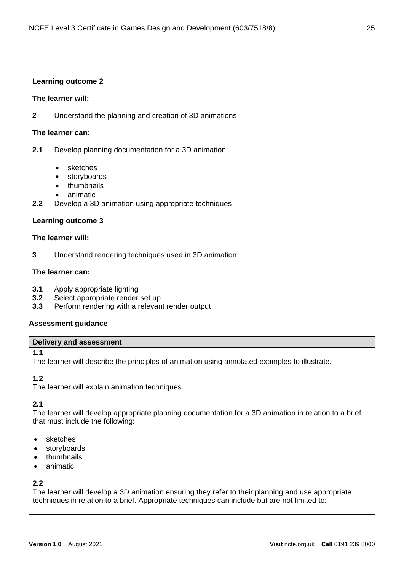#### **Learning outcome 2**

#### **The learner will:**

**2** Understand the planning and creation of 3D animations

#### **The learner can:**

- **2.1** Develop planning documentation for a 3D animation:
	- sketches
	- storyboards
	- thumbnails
	- animatic
- **2.2** Develop a 3D animation using appropriate techniques

#### **Learning outcome 3**

#### **The learner will:**

**3** Understand rendering techniques used in 3D animation

#### **The learner can:**

- **3.1** Apply appropriate lighting
- **3.2** Select appropriate render set up
- **3.3** Perform rendering with a relevant render output

#### **Assessment guidance**

#### **Delivery and assessment**

#### **1.1**

The learner will describe the principles of animation using annotated examples to illustrate.

#### **1.2**

The learner will explain animation techniques.

#### **2.1**

The learner will develop appropriate planning documentation for a 3D animation in relation to a brief that must include the following:

- sketches
- **storyboards**
- thumbnails
- animatic

#### **2.2**

The learner will develop a 3D animation ensuring they refer to their planning and use appropriate techniques in relation to a brief. Appropriate techniques can include but are not limited to: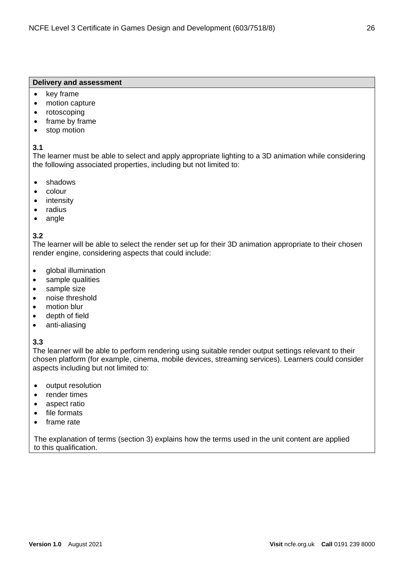#### **Delivery and assessment**

- key frame
- motion capture
- rotoscoping
- frame by frame
- stop motion

#### **3.1**

The learner must be able to select and apply appropriate lighting to a 3D animation while considering the following associated properties, including but not limited to:

- shadows
- colour
- intensity
- radius
- angle

#### **3.2**

The learner will be able to select the render set up for their 3D animation appropriate to their chosen render engine, considering aspects that could include:

- global illumination
- sample qualities
- sample size
- noise threshold
- motion blur
- depth of field
- anti-aliasing

#### **3.3**

The learner will be able to perform rendering using suitable render output settings relevant to their chosen platform (for example, cinema, mobile devices, streaming services). Learners could consider aspects including but not limited to:

- output resolution
- render times
- aspect ratio
- file formats
- frame rate

The explanation of terms (section 3) explains how the terms used in the unit content are applied to this qualification.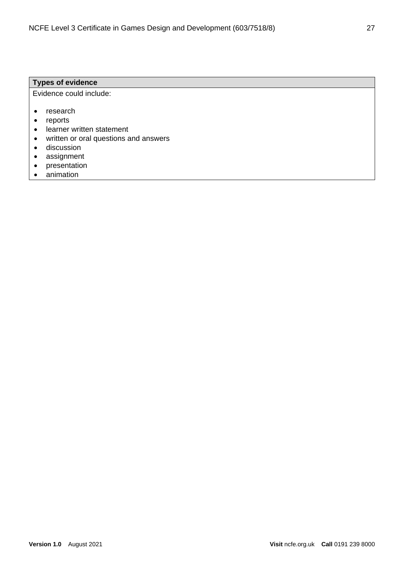#### **Types of evidence**

Evidence could include:

- research
- reports
- learner written statement
- written or oral questions and answers
- discussion
- assignment
- presentation
- animation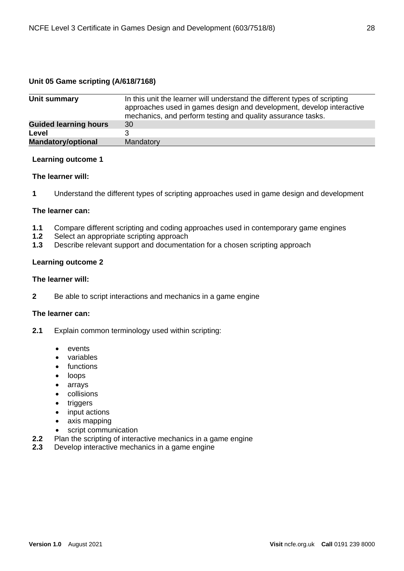#### <span id="page-27-0"></span>**Unit 05 Game scripting (A/618/7168)**

| Unit summary                 | In this unit the learner will understand the different types of scripting |
|------------------------------|---------------------------------------------------------------------------|
|                              | approaches used in games design and development, develop interactive      |
|                              | mechanics, and perform testing and quality assurance tasks.               |
| <b>Guided learning hours</b> | 30                                                                        |
| Level                        |                                                                           |
| <b>Mandatory/optional</b>    | Mandatory                                                                 |
|                              |                                                                           |

#### **Learning outcome 1**

#### **The learner will:**

**1** Understand the different types of scripting approaches used in game design and development

#### **The learner can:**

- 1.1 Compare different scripting and coding approaches used in contemporary game engines<br>1.2 Select an appropriate scripting approach
- Select an appropriate scripting approach
- **1.3** Describe relevant support and documentation for a chosen scripting approach

#### **Learning outcome 2**

#### **The learner will:**

**2** Be able to script interactions and mechanics in a game engine

#### **The learner can:**

- **2.1** Explain common terminology used within scripting:
	- events
	- variables
	- functions
	- loops
	- arrays
	- collisions
	- triggers
	- input actions
	- axis mapping
	- script communication
- **2.2** Plan the scripting of interactive mechanics in a game engine
- **2.3** Develop interactive mechanics in a game engine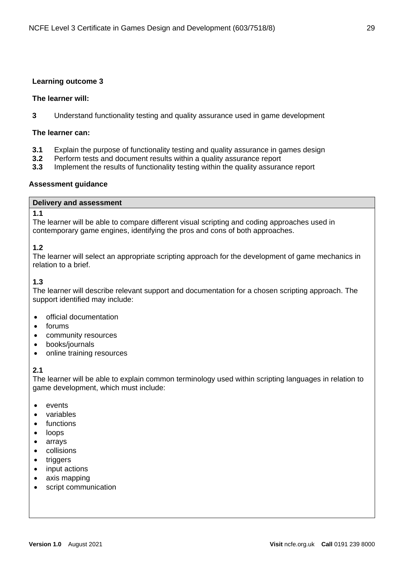#### **Learning outcome 3**

#### **The learner will:**

**3** Understand functionality testing and quality assurance used in game development

#### **The learner can:**

- **3.1** Explain the purpose of functionality testing and quality assurance in games design
- **3.2** Perform tests and document results within a quality assurance report
- **3.3** Implement the results of functionality testing within the quality assurance report

#### **Assessment guidance**

#### **Delivery and assessment**

#### **1.1**

The learner will be able to compare different visual scripting and coding approaches used in contemporary game engines, identifying the pros and cons of both approaches.

#### **1.2**

The learner will select an appropriate scripting approach for the development of game mechanics in relation to a brief.

#### **1.3**

The learner will describe relevant support and documentation for a chosen scripting approach. The support identified may include:

- official documentation
- forums
- community resources
- books/journals
- online training resources

#### **2.1**

The learner will be able to explain common terminology used within scripting languages in relation to game development, which must include:

- events
- variables
- functions
- loops
- arrays
- collisions
- triggers
- input actions
- axis mapping
- script communication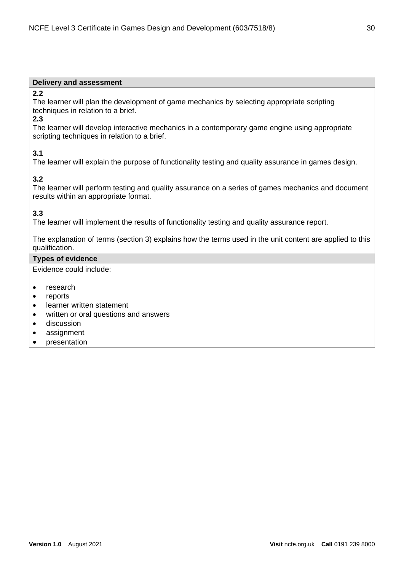#### **Delivery and assessment**

#### **2.2**

The learner will plan the development of game mechanics by selecting appropriate scripting techniques in relation to a brief.

#### **2.3**

The learner will develop interactive mechanics in a contemporary game engine using appropriate scripting techniques in relation to a brief.

#### **3.1**

The learner will explain the purpose of functionality testing and quality assurance in games design.

#### **3.2**

The learner will perform testing and quality assurance on a series of games mechanics and document results within an appropriate format.

#### **3.3**

The learner will implement the results of functionality testing and quality assurance report.

The explanation of terms (section 3) explains how the terms used in the unit content are applied to this qualification.

#### **Types of evidence**

Evidence could include:

- research
- **reports**
- learner written statement
- written or oral questions and answers
- discussion
- assignment
- presentation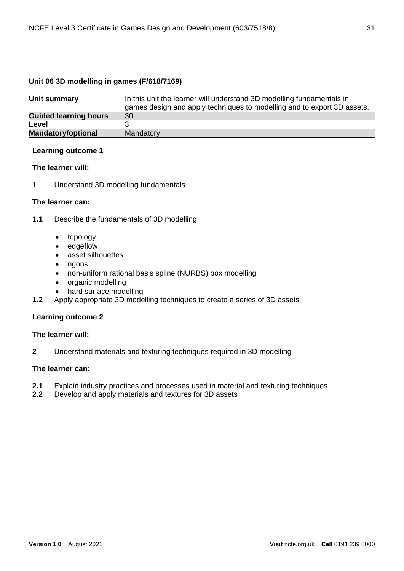#### <span id="page-30-0"></span>**Unit 06 3D modelling in games (F/618/7169)**

| Unit summary                 | In this unit the learner will understand 3D modelling fundamentals in<br>games design and apply techniques to modelling and to export 3D assets. |
|------------------------------|--------------------------------------------------------------------------------------------------------------------------------------------------|
| <b>Guided learning hours</b> | 30                                                                                                                                               |
| Level                        |                                                                                                                                                  |
| Mandatory/optional           | Mandatory                                                                                                                                        |

#### **Learning outcome 1**

#### **The learner will:**

**1** Understand 3D modelling fundamentals

#### **The learner can:**

- **1.1** Describe the fundamentals of 3D modelling:
	- topology
	- edgeflow
	- asset silhouettes
	- ngons
	- non-uniform rational basis spline (NURBS) box modelling
	- organic modelling
	- hard surface modelling
- **1.2** Apply appropriate 3D modelling techniques to create a series of 3D assets

#### **Learning outcome 2**

#### **The learner will:**

**2** Understand materials and texturing techniques required in 3D modelling

#### **The learner can:**

- **2.1** Explain industry practices and processes used in material and texturing techniques
- **2.2** Develop and apply materials and textures for 3D assets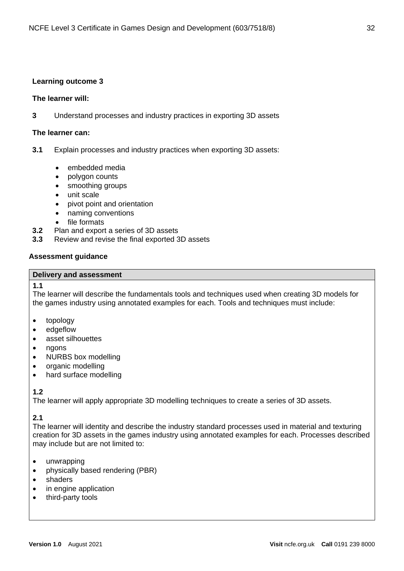#### **Learning outcome 3**

#### **The learner will:**

**3** Understand processes and industry practices in exporting 3D assets

#### **The learner can:**

- **3.1** Explain processes and industry practices when exporting 3D assets:
	- embedded media
	- polygon counts
	- smoothing groups
	- unit scale
	- pivot point and orientation
	- naming conventions
	- file formats
- **3.2** Plan and export a series of 3D assets
- **3.3** Review and revise the final exported 3D assets

#### **Assessment guidance**

#### **Delivery and assessment**

#### **1.1**

The learner will describe the fundamentals tools and techniques used when creating 3D models for the games industry using annotated examples for each. Tools and techniques must include:

- topology
- edgeflow
- asset silhouettes
- ngons
- NURBS box modelling
- organic modelling
- hard surface modelling

#### **1.2**

The learner will apply appropriate 3D modelling techniques to create a series of 3D assets.

#### **2.1**

The learner will identity and describe the industry standard processes used in material and texturing creation for 3D assets in the games industry using annotated examples for each. Processes described may include but are not limited to:

- unwrapping
- physically based rendering (PBR)
- shaders
- in engine application
- third-party tools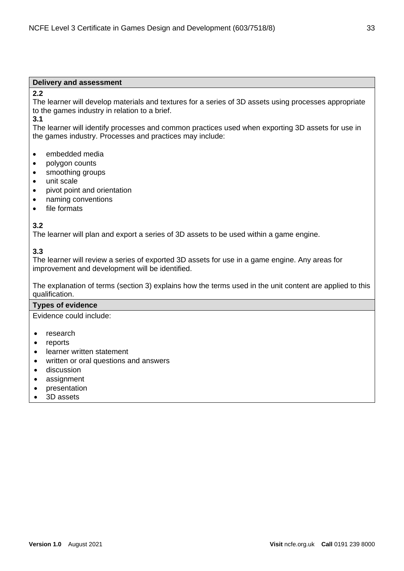#### **Delivery and assessment**

#### **2.2**

The learner will develop materials and textures for a series of 3D assets using processes appropriate to the games industry in relation to a brief.

#### **3.1**

The learner will identify processes and common practices used when exporting 3D assets for use in the games industry. Processes and practices may include:

- embedded media
- polygon counts
- smoothing groups
- unit scale
- pivot point and orientation
- naming conventions
- file formats

#### **3.2**

The learner will plan and export a series of 3D assets to be used within a game engine.

#### **3.3**

The learner will review a series of exported 3D assets for use in a game engine. Any areas for improvement and development will be identified.

The explanation of terms (section 3) explains how the terms used in the unit content are applied to this qualification.

#### **Types of evidence**

Evidence could include:

- research
- **reports**
- learner written statement
- written or oral questions and answers
- discussion
- assignment
- presentation
- 3D assets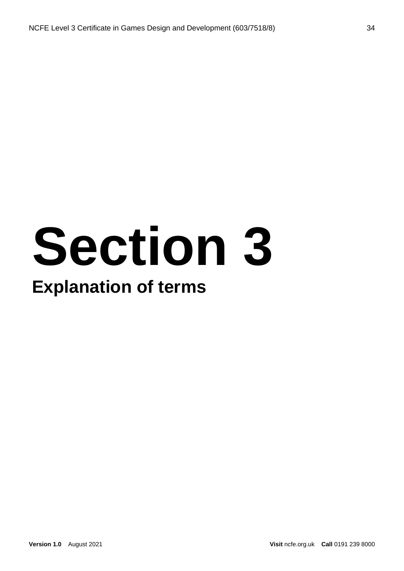## **Section 3 Explanation of terms**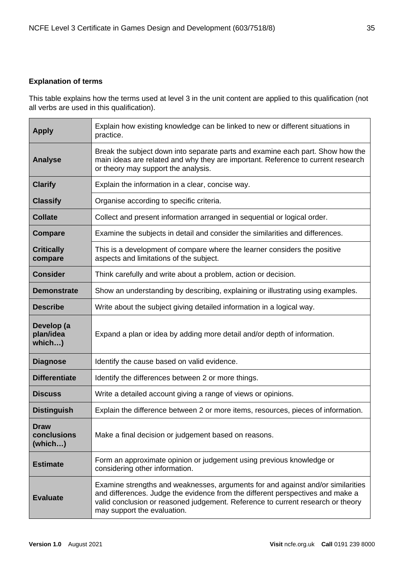#### <span id="page-34-0"></span>**Explanation of terms**

This table explains how the terms used at level 3 in the unit content are applied to this qualification (not all verbs are used in this qualification).

| <b>Apply</b>                          | Explain how existing knowledge can be linked to new or different situations in<br>practice.                                                                                                                                                                                         |
|---------------------------------------|-------------------------------------------------------------------------------------------------------------------------------------------------------------------------------------------------------------------------------------------------------------------------------------|
| <b>Analyse</b>                        | Break the subject down into separate parts and examine each part. Show how the<br>main ideas are related and why they are important. Reference to current research<br>or theory may support the analysis.                                                                           |
| <b>Clarify</b>                        | Explain the information in a clear, concise way.                                                                                                                                                                                                                                    |
| <b>Classify</b>                       | Organise according to specific criteria.                                                                                                                                                                                                                                            |
| <b>Collate</b>                        | Collect and present information arranged in sequential or logical order.                                                                                                                                                                                                            |
| <b>Compare</b>                        | Examine the subjects in detail and consider the similarities and differences.                                                                                                                                                                                                       |
| <b>Critically</b><br>compare          | This is a development of compare where the learner considers the positive<br>aspects and limitations of the subject.                                                                                                                                                                |
| <b>Consider</b>                       | Think carefully and write about a problem, action or decision.                                                                                                                                                                                                                      |
| <b>Demonstrate</b>                    | Show an understanding by describing, explaining or illustrating using examples.                                                                                                                                                                                                     |
| <b>Describe</b>                       | Write about the subject giving detailed information in a logical way.                                                                                                                                                                                                               |
| Develop (a<br>plan/idea<br>which)     | Expand a plan or idea by adding more detail and/or depth of information.                                                                                                                                                                                                            |
| <b>Diagnose</b>                       | Identify the cause based on valid evidence.                                                                                                                                                                                                                                         |
| <b>Differentiate</b>                  | Identify the differences between 2 or more things.                                                                                                                                                                                                                                  |
| <b>Discuss</b>                        | Write a detailed account giving a range of views or opinions.                                                                                                                                                                                                                       |
| <b>Distinguish</b>                    | Explain the difference between 2 or more items, resources, pieces of information.                                                                                                                                                                                                   |
| <b>Draw</b><br>conclusions<br>(which) | Make a final decision or judgement based on reasons.                                                                                                                                                                                                                                |
| <b>Estimate</b>                       | Form an approximate opinion or judgement using previous knowledge or<br>considering other information.                                                                                                                                                                              |
| <b>Evaluate</b>                       | Examine strengths and weaknesses, arguments for and against and/or similarities<br>and differences. Judge the evidence from the different perspectives and make a<br>valid conclusion or reasoned judgement. Reference to current research or theory<br>may support the evaluation. |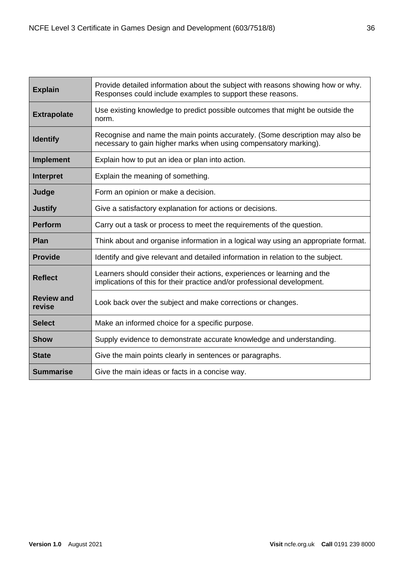| <b>Explain</b>              | Provide detailed information about the subject with reasons showing how or why.<br>Responses could include examples to support these reasons.       |
|-----------------------------|-----------------------------------------------------------------------------------------------------------------------------------------------------|
| <b>Extrapolate</b>          | Use existing knowledge to predict possible outcomes that might be outside the<br>norm.                                                              |
| <b>Identify</b>             | Recognise and name the main points accurately. (Some description may also be<br>necessary to gain higher marks when using compensatory marking).    |
| <b>Implement</b>            | Explain how to put an idea or plan into action.                                                                                                     |
| <b>Interpret</b>            | Explain the meaning of something.                                                                                                                   |
| Judge                       | Form an opinion or make a decision.                                                                                                                 |
| <b>Justify</b>              | Give a satisfactory explanation for actions or decisions.                                                                                           |
| <b>Perform</b>              | Carry out a task or process to meet the requirements of the question.                                                                               |
| <b>Plan</b>                 | Think about and organise information in a logical way using an appropriate format.                                                                  |
| <b>Provide</b>              | Identify and give relevant and detailed information in relation to the subject.                                                                     |
| <b>Reflect</b>              | Learners should consider their actions, experiences or learning and the<br>implications of this for their practice and/or professional development. |
| <b>Review and</b><br>revise | Look back over the subject and make corrections or changes.                                                                                         |
| <b>Select</b>               | Make an informed choice for a specific purpose.                                                                                                     |
| <b>Show</b>                 | Supply evidence to demonstrate accurate knowledge and understanding.                                                                                |
| <b>State</b>                | Give the main points clearly in sentences or paragraphs.                                                                                            |
| <b>Summarise</b>            | Give the main ideas or facts in a concise way.                                                                                                      |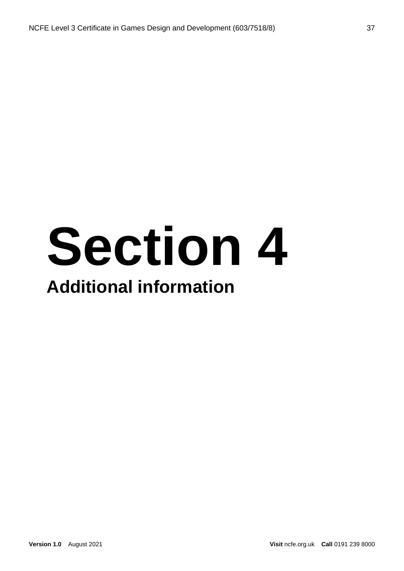### **Section 4 Additional information**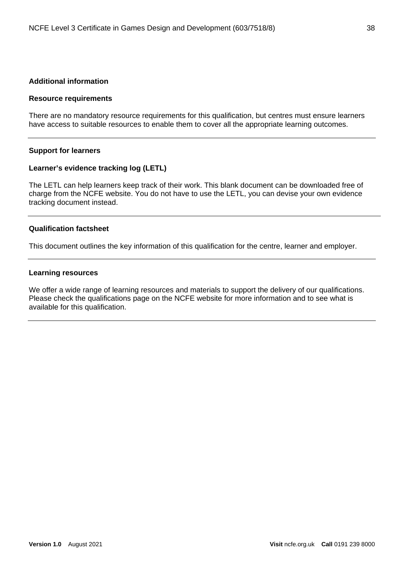#### <span id="page-37-0"></span>**Additional information**

#### <span id="page-37-1"></span>**Resource requirements**

There are no mandatory resource requirements for this qualification, but centres must ensure learners have access to suitable resources to enable them to cover all the appropriate learning outcomes.

#### <span id="page-37-2"></span>**Support for learners**

#### <span id="page-37-3"></span>**Learner's evidence tracking log (LETL)**

The LETL can help learners keep track of their work. This blank document can be downloaded free of charge from the NCFE website. You do not have to use the LETL, you can devise your own evidence tracking document instead.

#### <span id="page-37-4"></span>**Qualification factsheet**

This document outlines the key information of this qualification for the centre, learner and employer.

#### <span id="page-37-5"></span>**Learning resources**

We offer a wide range of learning resources and materials to support the delivery of our qualifications. Please check the qualifications page on the NCFE website for more information and to see what is available for this qualification.